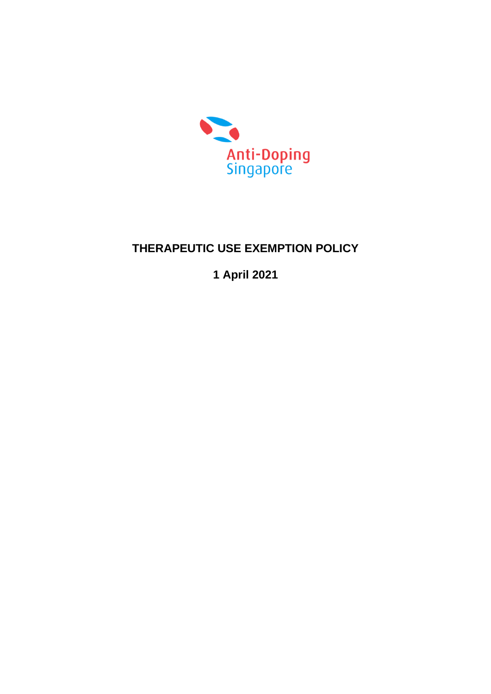

# **THERAPEUTIC USE EXEMPTION POLICY**

**1 April 2021**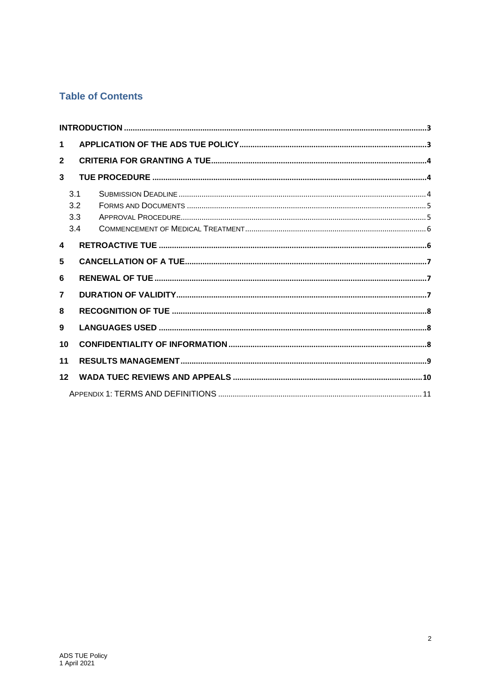# **Table of Contents**

| $\mathbf 1$    |                          |  |
|----------------|--------------------------|--|
| $\mathbf{2}$   |                          |  |
| 3              |                          |  |
|                | 3.1<br>3.2<br>3.3<br>3.4 |  |
| 4              |                          |  |
| 5              |                          |  |
| 6              |                          |  |
| $\overline{7}$ |                          |  |
| 8              |                          |  |
| 9              |                          |  |
| 10             |                          |  |
| 11             |                          |  |
| 12             |                          |  |
|                |                          |  |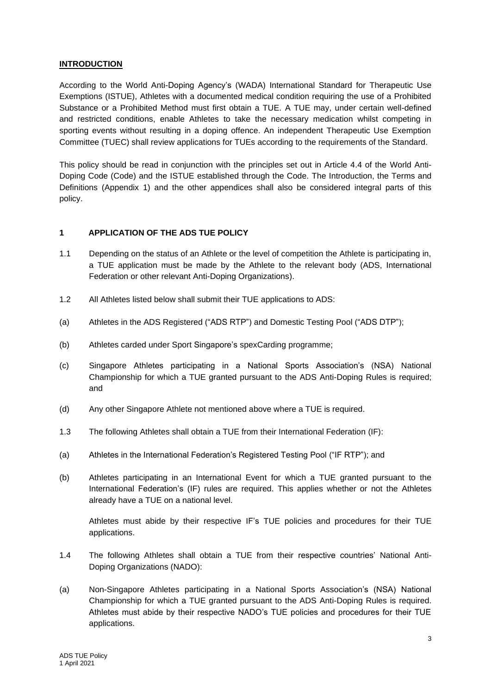#### <span id="page-2-0"></span>**INTRODUCTION**

According to the World Anti-Doping Agency's (WADA) International Standard for Therapeutic Use Exemptions (ISTUE), Athletes with a documented medical condition requiring the use of a Prohibited Substance or a Prohibited Method must first obtain a TUE. A TUE may, under certain well-defined and restricted conditions, enable Athletes to take the necessary medication whilst competing in sporting events without resulting in a doping offence. An independent Therapeutic Use Exemption Committee (TUEC) shall review applications for TUEs according to the requirements of the Standard.

This policy should be read in conjunction with the principles set out in Article 4.4 of the World Anti-Doping Code (Code) and the ISTUE established through the Code. The Introduction, the Terms and Definitions (Appendix 1) and the other appendices shall also be considered integral parts of this policy.

### <span id="page-2-1"></span>**1 APPLICATION OF THE ADS TUE POLICY**

- 1.1 Depending on the status of an Athlete or the level of competition the Athlete is participating in, a TUE application must be made by the Athlete to the relevant body (ADS, International Federation or other relevant Anti-Doping Organizations).
- 1.2 All Athletes listed below shall submit their TUE applications to ADS:
- (a) Athletes in the ADS Registered ("ADS RTP") and Domestic Testing Pool ("ADS DTP");
- (b) Athletes carded under Sport Singapore's spexCarding programme;
- (c) Singapore Athletes participating in a National Sports Association's (NSA) National Championship for which a TUE granted pursuant to the ADS Anti-Doping Rules is required; and
- (d) Any other Singapore Athlete not mentioned above where a TUE is required.
- 1.3 The following Athletes shall obtain a TUE from their International Federation (IF):
- (a) Athletes in the International Federation's Registered Testing Pool ("IF RTP"); and
- (b) Athletes participating in an International Event for which a TUE granted pursuant to the International Federation's (IF) rules are required. This applies whether or not the Athletes already have a TUE on a national level.

Athletes must abide by their respective IF's TUE policies and procedures for their TUE applications.

- 1.4 The following Athletes shall obtain a TUE from their respective countries' National Anti-Doping Organizations (NADO):
- (a) Non-Singapore Athletes participating in a National Sports Association's (NSA) National Championship for which a TUE granted pursuant to the ADS Anti-Doping Rules is required. Athletes must abide by their respective NADO's TUE policies and procedures for their TUE applications.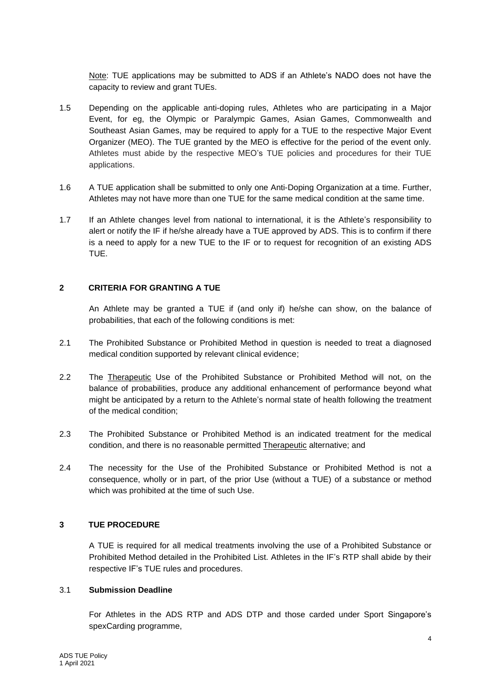Note: TUE applications may be submitted to ADS if an Athlete's NADO does not have the capacity to review and grant TUEs.

- 1.5 Depending on the applicable anti-doping rules, Athletes who are participating in a Major Event, for eg, the Olympic or Paralympic Games, Asian Games, Commonwealth and Southeast Asian Games, may be required to apply for a TUE to the respective Major Event Organizer (MEO). The TUE granted by the MEO is effective for the period of the event only. Athletes must abide by the respective MEO's TUE policies and procedures for their TUE applications.
- 1.6 A TUE application shall be submitted to only one Anti-Doping Organization at a time. Further, Athletes may not have more than one TUE for the same medical condition at the same time.
- 1.7 If an Athlete changes level from national to international, it is the Athlete's responsibility to alert or notify the IF if he/she already have a TUE approved by ADS. This is to confirm if there is a need to apply for a new TUE to the IF or to request for recognition of an existing ADS TUE.

### <span id="page-3-0"></span>**2 CRITERIA FOR GRANTING A TUE**

An Athlete may be granted a TUE if (and only if) he/she can show, on the balance of probabilities, that each of the following conditions is met:

- 2.1 The Prohibited Substance or Prohibited Method in question is needed to treat a diagnosed medical condition supported by relevant clinical evidence;
- 2.2 The Therapeutic Use of the Prohibited Substance or Prohibited Method will not, on the balance of probabilities, produce any additional enhancement of performance beyond what might be anticipated by a return to the Athlete's normal state of health following the treatment of the medical condition;
- 2.3 The Prohibited Substance or Prohibited Method is an indicated treatment for the medical condition, and there is no reasonable permitted Therapeutic alternative; and
- 2.4 The necessity for the Use of the Prohibited Substance or Prohibited Method is not a consequence, wholly or in part, of the prior Use (without a TUE) of a substance or method which was prohibited at the time of such Use.

#### <span id="page-3-1"></span>**3 TUE PROCEDURE**

A TUE is required for all medical treatments involving the use of a Prohibited Substance or Prohibited Method detailed in the Prohibited List. Athletes in the IF's RTP shall abide by their respective IF's TUE rules and procedures.

#### <span id="page-3-2"></span>3.1 **Submission Deadline**

For Athletes in the ADS RTP and ADS DTP and those carded under Sport Singapore's spexCarding programme,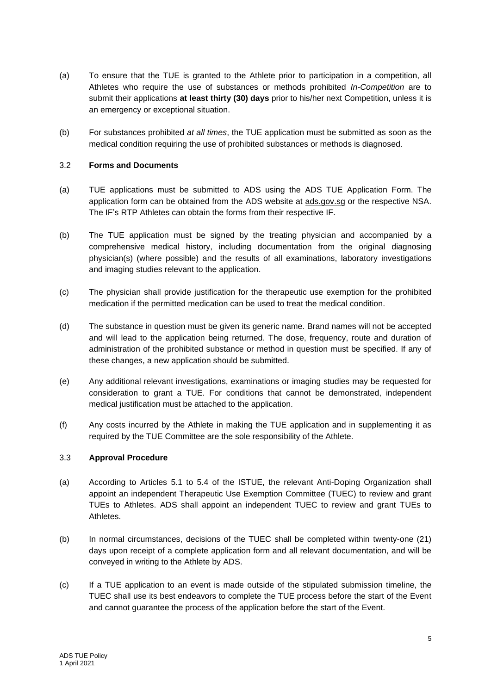- (a) To ensure that the TUE is granted to the Athlete prior to participation in a competition, all Athletes who require the use of substances or methods prohibited *In-Competition* are to submit their applications **at least thirty (30) days** prior to his/her next Competition, unless it is an emergency or exceptional situation.
- (b) For substances prohibited *at all times*, the TUE application must be submitted as soon as the medical condition requiring the use of prohibited substances or methods is diagnosed.

#### <span id="page-4-0"></span>3.2 **Forms and Documents**

- (a) TUE applications must be submitted to ADS using the ADS TUE Application Form. The application form can be obtained from the ADS website at ads.gov.sg or the respective NSA. The IF's RTP Athletes can obtain the forms from their respective IF.
- (b) The TUE application must be signed by the treating physician and accompanied by a comprehensive medical history, including documentation from the original diagnosing physician(s) (where possible) and the results of all examinations, laboratory investigations and imaging studies relevant to the application.
- (c) The physician shall provide justification for the therapeutic use exemption for the prohibited medication if the permitted medication can be used to treat the medical condition.
- (d) The substance in question must be given its generic name. Brand names will not be accepted and will lead to the application being returned. The dose, frequency, route and duration of administration of the prohibited substance or method in question must be specified. If any of these changes, a new application should be submitted.
- (e) Any additional relevant investigations, examinations or imaging studies may be requested for consideration to grant a TUE. For conditions that cannot be demonstrated, independent medical justification must be attached to the application.
- (f) Any costs incurred by the Athlete in making the TUE application and in supplementing it as required by the TUE Committee are the sole responsibility of the Athlete.

### <span id="page-4-1"></span>3.3 **Approval Procedure**

- (a) According to Articles 5.1 to 5.4 of the ISTUE, the relevant Anti-Doping Organization shall appoint an independent Therapeutic Use Exemption Committee (TUEC) to review and grant TUEs to Athletes. ADS shall appoint an independent TUEC to review and grant TUEs to Athletes.
- (b) In normal circumstances, decisions of the TUEC shall be completed within twenty-one (21) days upon receipt of a complete application form and all relevant documentation, and will be conveyed in writing to the Athlete by ADS.
- (c) If a TUE application to an event is made outside of the stipulated submission timeline, the TUEC shall use its best endeavors to complete the TUE process before the start of the Event and cannot guarantee the process of the application before the start of the Event.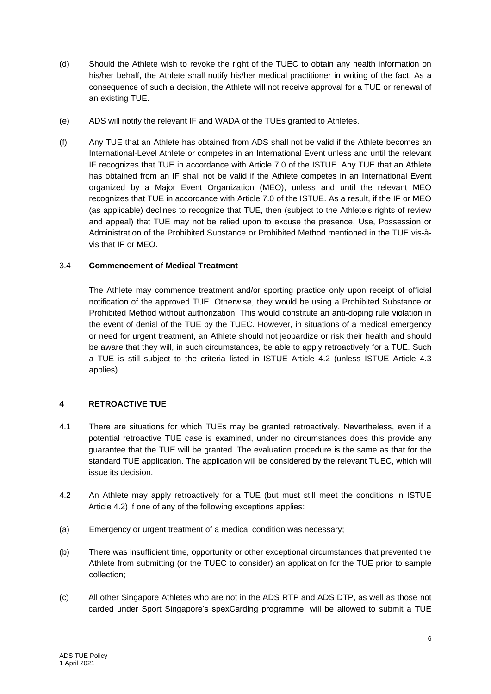- (d) Should the Athlete wish to revoke the right of the TUEC to obtain any health information on his/her behalf, the Athlete shall notify his/her medical practitioner in writing of the fact. As a consequence of such a decision, the Athlete will not receive approval for a TUE or renewal of an existing TUE.
- (e) ADS will notify the relevant IF and WADA of the TUEs granted to Athletes.
- (f) Any TUE that an Athlete has obtained from ADS shall not be valid if the Athlete becomes an International-Level Athlete or competes in an International Event unless and until the relevant IF recognizes that TUE in accordance with Article 7.0 of the ISTUE. Any TUE that an Athlete has obtained from an IF shall not be valid if the Athlete competes in an International Event organized by a Major Event Organization (MEO), unless and until the relevant MEO recognizes that TUE in accordance with Article 7.0 of the ISTUE. As a result, if the IF or MEO (as applicable) declines to recognize that TUE, then (subject to the Athlete's rights of review and appeal) that TUE may not be relied upon to excuse the presence, Use, Possession or Administration of the Prohibited Substance or Prohibited Method mentioned in the TUE vis-àvis that IF or MEO.

### <span id="page-5-0"></span>3.4 **Commencement of Medical Treatment**

The Athlete may commence treatment and/or sporting practice only upon receipt of official notification of the approved TUE. Otherwise, they would be using a Prohibited Substance or Prohibited Method without authorization. This would constitute an anti-doping rule violation in the event of denial of the TUE by the TUEC. However, in situations of a medical emergency or need for urgent treatment, an Athlete should not jeopardize or risk their health and should be aware that they will, in such circumstances, be able to apply retroactively for a TUE. Such a TUE is still subject to the criteria listed in ISTUE Article 4.2 (unless ISTUE Article 4.3 applies).

# <span id="page-5-1"></span>**4 RETROACTIVE TUE**

- 4.1 There are situations for which TUEs may be granted retroactively. Nevertheless, even if a potential retroactive TUE case is examined, under no circumstances does this provide any guarantee that the TUE will be granted. The evaluation procedure is the same as that for the standard TUE application. The application will be considered by the relevant TUEC, which will issue its decision.
- 4.2 An Athlete may apply retroactively for a TUE (but must still meet the conditions in ISTUE Article 4.2) if one of any of the following exceptions applies:
- (a) Emergency or urgent treatment of a medical condition was necessary;
- (b) There was insufficient time, opportunity or other exceptional circumstances that prevented the Athlete from submitting (or the TUEC to consider) an application for the TUE prior to sample collection;
- (c) All other Singapore Athletes who are not in the ADS RTP and ADS DTP, as well as those not carded under Sport Singapore's spexCarding programme, will be allowed to submit a TUE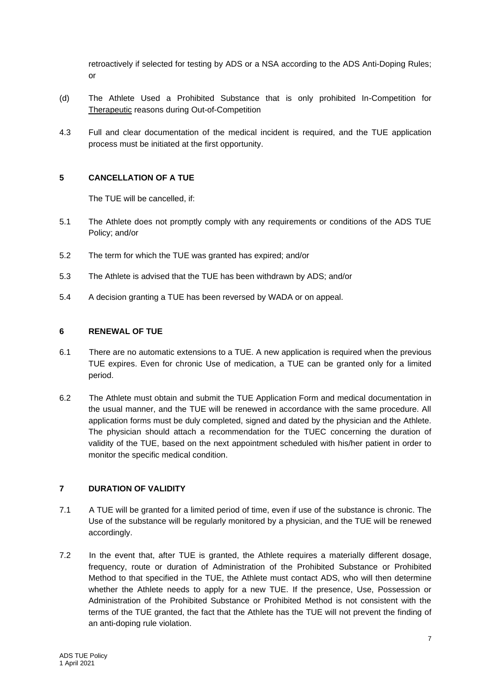retroactively if selected for testing by ADS or a NSA according to the ADS Anti-Doping Rules; or

- (d) The Athlete Used a Prohibited Substance that is only prohibited In-Competition for Therapeutic reasons during Out-of-Competition
- 4.3 Full and clear documentation of the medical incident is required, and the TUE application process must be initiated at the first opportunity.

#### <span id="page-6-0"></span>**5 CANCELLATION OF A TUE**

The TUE will be cancelled, if:

- 5.1 The Athlete does not promptly comply with any requirements or conditions of the ADS TUE Policy; and/or
- 5.2 The term for which the TUE was granted has expired; and/or
- 5.3 The Athlete is advised that the TUE has been withdrawn by ADS; and/or
- 5.4 A decision granting a TUE has been reversed by WADA or on appeal.

#### <span id="page-6-1"></span>**6 RENEWAL OF TUE**

- 6.1 There are no automatic extensions to a TUE. A new application is required when the previous TUE expires. Even for chronic Use of medication, a TUE can be granted only for a limited period.
- 6.2 The Athlete must obtain and submit the TUE Application Form and medical documentation in the usual manner, and the TUE will be renewed in accordance with the same procedure. All application forms must be duly completed, signed and dated by the physician and the Athlete. The physician should attach a recommendation for the TUEC concerning the duration of validity of the TUE, based on the next appointment scheduled with his/her patient in order to monitor the specific medical condition.

# <span id="page-6-2"></span>**7 DURATION OF VALIDITY**

- 7.1 A TUE will be granted for a limited period of time, even if use of the substance is chronic. The Use of the substance will be regularly monitored by a physician, and the TUE will be renewed accordingly.
- 7.2 In the event that, after TUE is granted, the Athlete requires a materially different dosage, frequency, route or duration of Administration of the Prohibited Substance or Prohibited Method to that specified in the TUE, the Athlete must contact ADS, who will then determine whether the Athlete needs to apply for a new TUE. If the presence, Use, Possession or Administration of the Prohibited Substance or Prohibited Method is not consistent with the terms of the TUE granted, the fact that the Athlete has the TUE will not prevent the finding of an anti-doping rule violation.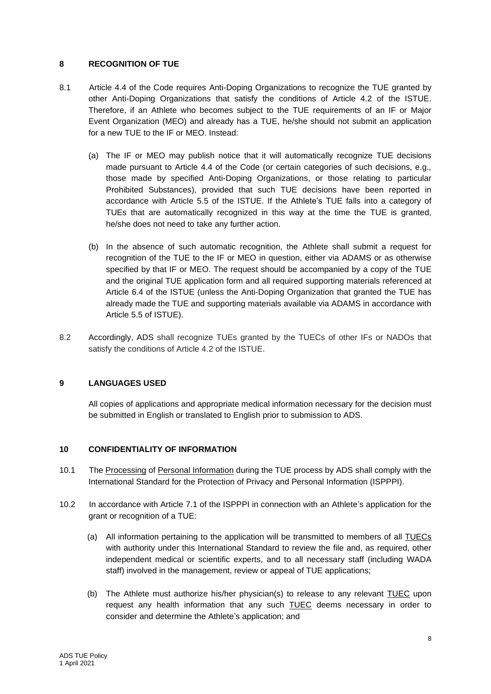### <span id="page-7-0"></span>**8 RECOGNITION OF TUE**

- 8.1 Article 4.4 of the Code requires Anti-Doping Organizations to recognize the TUE granted by other Anti-Doping Organizations that satisfy the conditions of Article 4.2 of the ISTUE. Therefore, if an Athlete who becomes subject to the TUE requirements of an IF or Major Event Organization (MEO) and already has a TUE, he/she should not submit an application for a new TUE to the IF or MEO. Instead:
	- (a) The IF or MEO may publish notice that it will automatically recognize TUE decisions made pursuant to Article 4.4 of the Code (or certain categories of such decisions, e.g., those made by specified Anti-Doping Organizations, or those relating to particular Prohibited Substances), provided that such TUE decisions have been reported in accordance with Article 5.5 of the ISTUE. If the Athlete's TUE falls into a category of TUEs that are automatically recognized in this way at the time the TUE is granted, he/she does not need to take any further action.
	- (b) In the absence of such automatic recognition, the Athlete shall submit a request for recognition of the TUE to the IF or MEO in question, either via ADAMS or as otherwise specified by that IF or MEO. The request should be accompanied by a copy of the TUE and the original TUE application form and all required supporting materials referenced at Article 6.4 of the ISTUE (unless the Anti-Doping Organization that granted the TUE has already made the TUE and supporting materials available via ADAMS in accordance with Article 5.5 of ISTUE).
- 8.2 Accordingly, ADS shall recognize TUEs granted by the TUECs of other IFs or NADOs that satisfy the conditions of Article 4.2 of the ISTUE.

# <span id="page-7-1"></span>**9 LANGUAGES USED**

All copies of applications and appropriate medical information necessary for the decision must be submitted in English or translated to English prior to submission to ADS.

#### <span id="page-7-2"></span>**10 CONFIDENTIALITY OF INFORMATION**

- 10.1 The Processing of Personal Information during the TUE process by ADS shall comply with the International Standard for the Protection of Privacy and Personal Information (ISPPPI).
- 10.2 In accordance with Article 7.1 of the ISPPPI in connection with an Athlete's application for the grant or recognition of a TUE:
	- (a) All information pertaining to the application will be transmitted to members of all TUECs with authority under this International Standard to review the file and, as required, other independent medical or scientific experts, and to all necessary staff (including WADA staff) involved in the management, review or appeal of TUE applications;
	- (b) The Athlete must authorize his/her physician(s) to release to any relevant TUEC upon request any health information that any such TUEC deems necessary in order to consider and determine the Athlete's application; and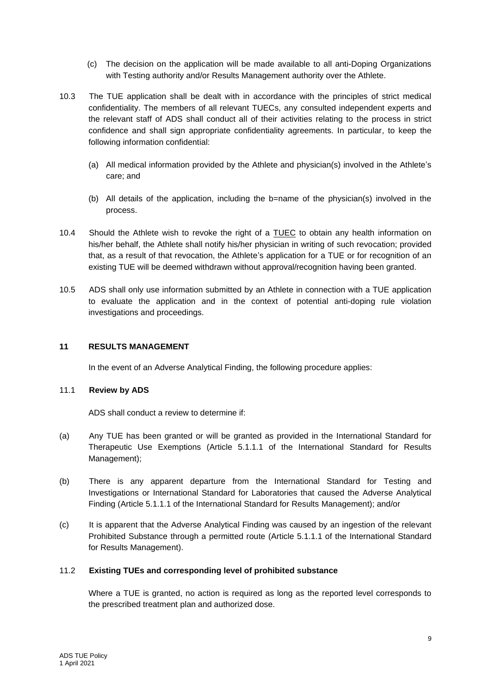- (c) The decision on the application will be made available to all anti-Doping Organizations with Testing authority and/or Results Management authority over the Athlete.
- 10.3 The TUE application shall be dealt with in accordance with the principles of strict medical confidentiality. The members of all relevant TUECs, any consulted independent experts and the relevant staff of ADS shall conduct all of their activities relating to the process in strict confidence and shall sign appropriate confidentiality agreements. In particular, to keep the following information confidential:
	- (a) All medical information provided by the Athlete and physician(s) involved in the Athlete's care; and
	- (b) All details of the application, including the b=name of the physician(s) involved in the process.
- 10.4 Should the Athlete wish to revoke the right of a TUEC to obtain any health information on his/her behalf, the Athlete shall notify his/her physician in writing of such revocation; provided that, as a result of that revocation, the Athlete's application for a TUE or for recognition of an existing TUE will be deemed withdrawn without approval/recognition having been granted.
- 10.5 ADS shall only use information submitted by an Athlete in connection with a TUE application to evaluate the application and in the context of potential anti-doping rule violation investigations and proceedings.

#### <span id="page-8-0"></span>**11 RESULTS MANAGEMENT**

In the event of an Adverse Analytical Finding, the following procedure applies:

#### 11.1 **Review by ADS**

ADS shall conduct a review to determine if:

- (a) Any TUE has been granted or will be granted as provided in the International Standard for Therapeutic Use Exemptions (Article 5.1.1.1 of the International Standard for Results Management);
- (b) There is any apparent departure from the International Standard for Testing and Investigations or International Standard for Laboratories that caused the Adverse Analytical Finding (Article 5.1.1.1 of the International Standard for Results Management); and/or
- (c) It is apparent that the Adverse Analytical Finding was caused by an ingestion of the relevant Prohibited Substance through a permitted route (Article 5.1.1.1 of the International Standard for Results Management).

#### 11.2 **Existing TUEs and corresponding level of prohibited substance**

Where a TUE is granted, no action is required as long as the reported level corresponds to the prescribed treatment plan and authorized dose.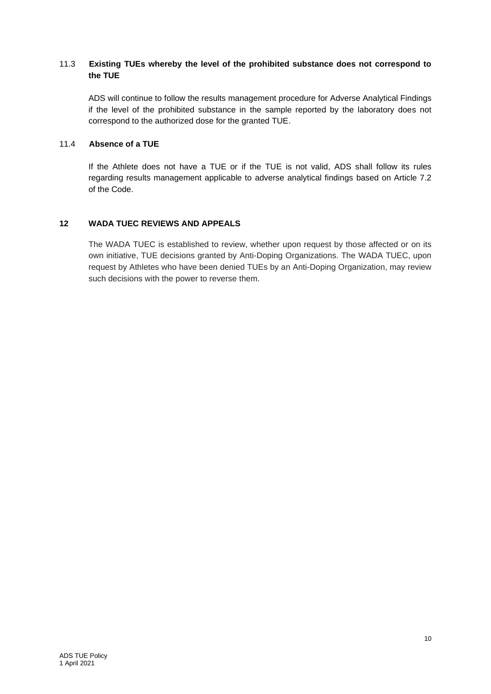# 11.3 **Existing TUEs whereby the level of the prohibited substance does not correspond to the TUE**

ADS will continue to follow the results management procedure for Adverse Analytical Findings if the level of the prohibited substance in the sample reported by the laboratory does not correspond to the authorized dose for the granted TUE.

#### 11.4 **Absence of a TUE**

If the Athlete does not have a TUE or if the TUE is not valid, ADS shall follow its rules regarding results management applicable to adverse analytical findings based on Article 7.2 of the Code.

# <span id="page-9-0"></span>**12 WADA TUEC REVIEWS AND APPEALS**

The WADA TUEC is established to review, whether upon request by those affected or on its own initiative, TUE decisions granted by Anti-Doping Organizations. The WADA TUEC, upon request by Athletes who have been denied TUEs by an Anti-Doping Organization, may review such decisions with the power to reverse them.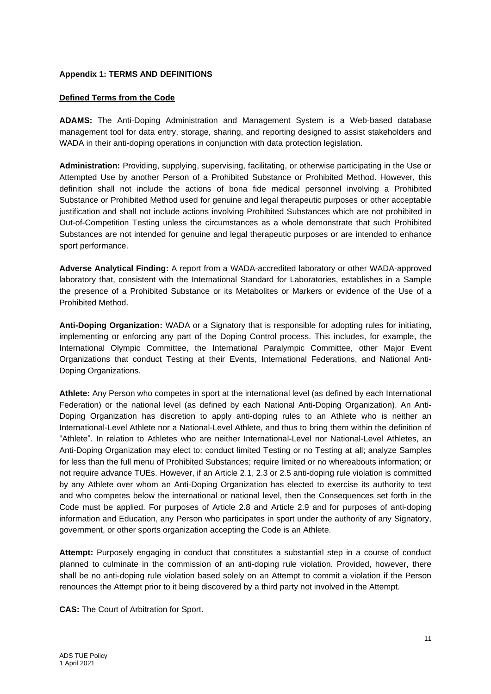#### <span id="page-10-0"></span>**Appendix 1: TERMS AND DEFINITIONS**

### **Defined Terms from the Code**

**ADAMS:** The Anti-Doping Administration and Management System is a Web-based database management tool for data entry, storage, sharing, and reporting designed to assist stakeholders and WADA in their anti-doping operations in conjunction with data protection legislation.

**Administration:** Providing, supplying, supervising, facilitating, or otherwise participating in the Use or Attempted Use by another Person of a Prohibited Substance or Prohibited Method. However, this definition shall not include the actions of bona fide medical personnel involving a Prohibited Substance or Prohibited Method used for genuine and legal therapeutic purposes or other acceptable justification and shall not include actions involving Prohibited Substances which are not prohibited in Out-of-Competition Testing unless the circumstances as a whole demonstrate that such Prohibited Substances are not intended for genuine and legal therapeutic purposes or are intended to enhance sport performance.

**Adverse Analytical Finding:** A report from a WADA-accredited laboratory or other WADA-approved laboratory that, consistent with the International Standard for Laboratories, establishes in a Sample the presence of a Prohibited Substance or its Metabolites or Markers or evidence of the Use of a Prohibited Method.

**Anti-Doping Organization:** WADA or a Signatory that is responsible for adopting rules for initiating, implementing or enforcing any part of the Doping Control process. This includes, for example, the International Olympic Committee, the International Paralympic Committee, other Major Event Organizations that conduct Testing at their Events, International Federations, and National Anti-Doping Organizations.

**Athlete:** Any Person who competes in sport at the international level (as defined by each International Federation) or the national level (as defined by each National Anti-Doping Organization). An Anti-Doping Organization has discretion to apply anti-doping rules to an Athlete who is neither an International-Level Athlete nor a National-Level Athlete, and thus to bring them within the definition of "Athlete". In relation to Athletes who are neither International-Level nor National-Level Athletes, an Anti-Doping Organization may elect to: conduct limited Testing or no Testing at all; analyze Samples for less than the full menu of Prohibited Substances; require limited or no whereabouts information; or not require advance TUEs. However, if an Article 2.1, 2.3 or 2.5 anti-doping rule violation is committed by any Athlete over whom an Anti-Doping Organization has elected to exercise its authority to test and who competes below the international or national level, then the Consequences set forth in the Code must be applied. For purposes of Article 2.8 and Article 2.9 and for purposes of anti-doping information and Education, any Person who participates in sport under the authority of any Signatory, government, or other sports organization accepting the Code is an Athlete.

**Attempt:** Purposely engaging in conduct that constitutes a substantial step in a course of conduct planned to culminate in the commission of an anti-doping rule violation. Provided, however, there shall be no anti-doping rule violation based solely on an Attempt to commit a violation if the Person renounces the Attempt prior to it being discovered by a third party not involved in the Attempt.

**CAS:** The Court of Arbitration for Sport.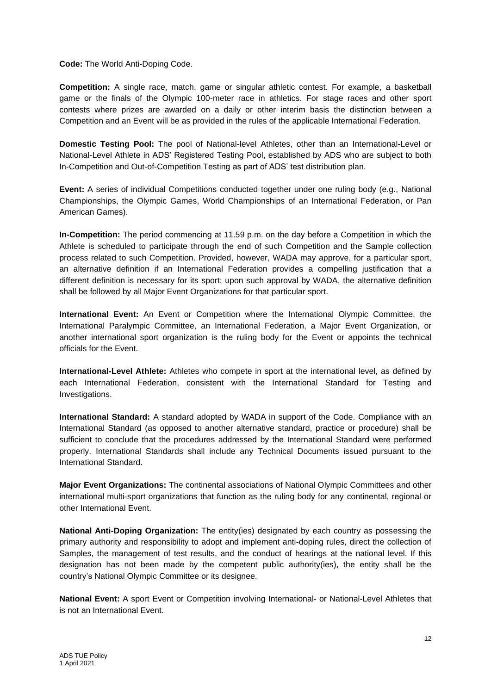**Code:** The World Anti-Doping Code.

**Competition:** A single race, match, game or singular athletic contest. For example, a basketball game or the finals of the Olympic 100-meter race in athletics. For stage races and other sport contests where prizes are awarded on a daily or other interim basis the distinction between a Competition and an Event will be as provided in the rules of the applicable International Federation.

**Domestic Testing Pool:** The pool of National-level Athletes, other than an International-Level or National-Level Athlete in ADS' Registered Testing Pool, established by ADS who are subject to both In-Competition and Out-of-Competition Testing as part of ADS' test distribution plan.

**Event:** A series of individual Competitions conducted together under one ruling body (e.g., National Championships, the Olympic Games, World Championships of an International Federation, or Pan American Games).

**In-Competition:** The period commencing at 11.59 p.m. on the day before a Competition in which the Athlete is scheduled to participate through the end of such Competition and the Sample collection process related to such Competition. Provided, however, WADA may approve, for a particular sport, an alternative definition if an International Federation provides a compelling justification that a different definition is necessary for its sport; upon such approval by WADA, the alternative definition shall be followed by all Major Event Organizations for that particular sport.

**International Event:** An Event or Competition where the International Olympic Committee, the International Paralympic Committee, an International Federation, a Major Event Organization, or another international sport organization is the ruling body for the Event or appoints the technical officials for the Event.

**International-Level Athlete:** Athletes who compete in sport at the international level, as defined by each International Federation, consistent with the International Standard for Testing and Investigations.

**International Standard:** A standard adopted by WADA in support of the Code. Compliance with an International Standard (as opposed to another alternative standard, practice or procedure) shall be sufficient to conclude that the procedures addressed by the International Standard were performed properly. International Standards shall include any Technical Documents issued pursuant to the International Standard.

**Major Event Organizations:** The continental associations of National Olympic Committees and other international multi-sport organizations that function as the ruling body for any continental, regional or other International Event.

**National Anti-Doping Organization:** The entity(ies) designated by each country as possessing the primary authority and responsibility to adopt and implement anti-doping rules, direct the collection of Samples, the management of test results, and the conduct of hearings at the national level. If this designation has not been made by the competent public authority(ies), the entity shall be the country's National Olympic Committee or its designee.

**National Event:** A sport Event or Competition involving International- or National-Level Athletes that is not an International Event.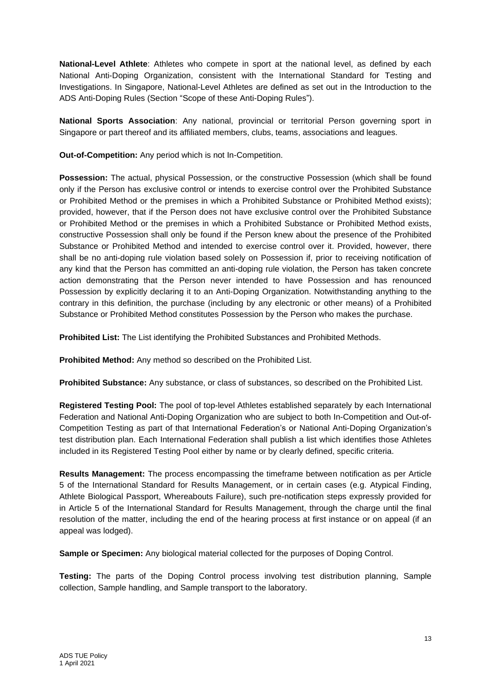**National-Level Athlete**: Athletes who compete in sport at the national level, as defined by each National Anti-Doping Organization, consistent with the International Standard for Testing and Investigations. In Singapore, National-Level Athletes are defined as set out in the Introduction to the ADS Anti-Doping Rules (Section "Scope of these Anti-Doping Rules").

**National Sports Association**: Any national, provincial or territorial Person governing sport in Singapore or part thereof and its affiliated members, clubs, teams, associations and leagues.

**Out-of-Competition:** Any period which is not In-Competition.

**Possession:** The actual, physical Possession, or the constructive Possession (which shall be found only if the Person has exclusive control or intends to exercise control over the Prohibited Substance or Prohibited Method or the premises in which a Prohibited Substance or Prohibited Method exists); provided, however, that if the Person does not have exclusive control over the Prohibited Substance or Prohibited Method or the premises in which a Prohibited Substance or Prohibited Method exists, constructive Possession shall only be found if the Person knew about the presence of the Prohibited Substance or Prohibited Method and intended to exercise control over it. Provided, however, there shall be no anti-doping rule violation based solely on Possession if, prior to receiving notification of any kind that the Person has committed an anti-doping rule violation, the Person has taken concrete action demonstrating that the Person never intended to have Possession and has renounced Possession by explicitly declaring it to an Anti-Doping Organization. Notwithstanding anything to the contrary in this definition, the purchase (including by any electronic or other means) of a Prohibited Substance or Prohibited Method constitutes Possession by the Person who makes the purchase.

**Prohibited List:** The List identifying the Prohibited Substances and Prohibited Methods.

**Prohibited Method:** Any method so described on the Prohibited List.

**Prohibited Substance:** Any substance, or class of substances, so described on the Prohibited List.

**Registered Testing Pool:** The pool of top-level Athletes established separately by each International Federation and National Anti-Doping Organization who are subject to both In-Competition and Out-of-Competition Testing as part of that International Federation's or National Anti-Doping Organization's test distribution plan. Each International Federation shall publish a list which identifies those Athletes included in its Registered Testing Pool either by name or by clearly defined, specific criteria.

**Results Management:** The process encompassing the timeframe between notification as per Article 5 of the International Standard for Results Management, or in certain cases (e.g. Atypical Finding, Athlete Biological Passport, Whereabouts Failure), such pre-notification steps expressly provided for in Article 5 of the International Standard for Results Management, through the charge until the final resolution of the matter, including the end of the hearing process at first instance or on appeal (if an appeal was lodged).

**Sample or Specimen:** Any biological material collected for the purposes of Doping Control.

**Testing:** The parts of the Doping Control process involving test distribution planning, Sample collection, Sample handling, and Sample transport to the laboratory.